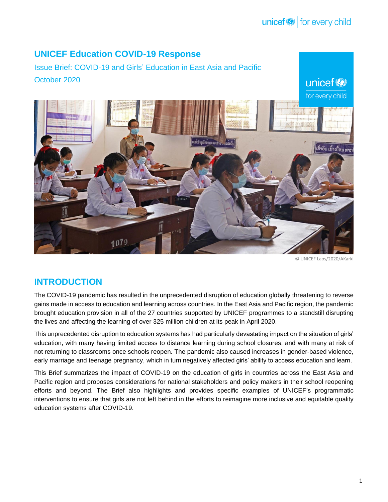unicef<sup>®</sup>

# **UNICEF Education COVID-19 Response**

Issue Brief: COVID-19 and Girls' Education in East Asia and Pacific October 2020



© UNICEF Laos/2020/AKarki

# **INTRODUCTION**

The COVID-19 pandemic has resulted in the unprecedented disruption of education globally threatening to reverse gains made in access to education and learning across countries. In the East Asia and Pacific region, the pandemic brought education provision in all of the 27 countries supported by UNICEF programmes to a standstill disrupting the lives and affecting the learning of over 325 million children at its peak in April 2020.

This unprecedented disruption to education systems has had particularly devastating impact on the situation of girls' education, with many having limited access to distance learning during school closures, and with many at risk of not returning to classrooms once schools reopen. The pandemic also caused increases in gender-based violence, early marriage and teenage pregnancy, which in turn negatively affected girls' ability to access education and learn.

This Brief summarizes the impact of COVID-19 on the education of girls in countries across the East Asia and Pacific region and proposes considerations for national stakeholders and policy makers in their school reopening efforts and beyond. The Brief also highlights and provides specific examples of UNICEF's programmatic interventions to ensure that girls are not left behind in the efforts to reimagine more inclusive and equitable quality education systems after COVID-19.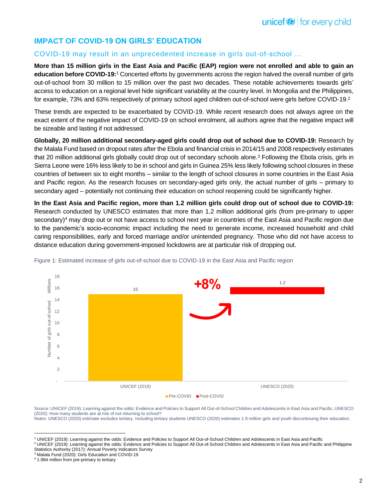## **IMPACT OF COVID-19 ON GIRLS' EDUCATION**

## COVID-19 may result in an unprecedented increase in girls out-of-school …

**More than 15 million girls in the East Asia and Pacific (EAP) region were not enrolled and able to gain an education before COVID-19:**<sup>1</sup> Concerted efforts by governments across the region halved the overall number of girls out-of-school from 30 million to 15 million over the past two decades. These notable achievements towards girls' access to education on a regional level hide significant variability at the country level. In Mongolia and the Philippines, for example, 73% and 63% respectively of primary school aged children out-of-school were girls before COVID-19.<sup>2</sup>

These trends are expected to be exacerbated by COVID-19. While recent research does not always agree on the exact extent of the negative impact of COVID-19 on school enrolment, all authors agree that the negative impact will be sizeable and lasting if not addressed.

**Globally, 20 million additional secondary-aged girls could drop out of school due to COVID-19:** Research by the Malala Fund based on dropout rates after the Ebola and financial crisis in 2014/15 and 2008 respectively estimates that 20 million additional girls globally could drop out of secondary schools alone. <sup>3</sup> Following the Ebola crisis, girls in Sierra Leone were 16% less likely to be in school and girls in Guinea 25% less likely following school closures in these countries of between six to eight months – similar to the length of school closures in some countries in the East Asia and Pacific region. As the research focuses on secondary-aged girls only, the actual number of girls – primary to secondary aged – potentially not continuing their education on school reopening could be significantly higher.

**In the East Asia and Pacific region, more than 1.2 million girls could drop out of school due to COVID-19:**  Research conducted by UNESCO estimates that more than 1.2 million additional girls (from pre-primary to upper secondary) <sup>4</sup> may drop out or not have access to school next year in countries of the East Asia and Pacific region due to the pandemic's socio-economic impact including the need to generate income, increased household and child caring responsibilities, early and forced marriage and/or unintended pregnancy. Those who did not have access to distance education during government-imposed lockdowns are at particular risk of dropping out.



Figure 1: Estimated increase of girls out-of-school due to COVID-19 in the East Asia and Pacific region

Source: UNICEF (2019): Learning against the odds: Evidence and Policies to Support All Out-of-School Children and Adolescents in East Asia and Pacific, UNESCO (2020): How many students are at risk of not returning to school? Notes: UNESCO (2020) estimate excludes tertiary. Including tertiary students UNESCO (2020) estimates 1.9 million girls and youth discontinuing their education.

<sup>1</sup> UNICEF (2019): Learning against the odds: Evidence and Policies to Support All Out-of-School Children and Adolescents in East Asia and Pacific

<sup>&</sup>lt;sup>2</sup> UNICEF (2019): Learning against the odds: Evidence and Policies to Support All Out-of-School Children and Adolescents in East Asia and Pacific and Philippine Statistics Authority (2017): Annual Poverty Indicators Survey

<sup>3</sup> Malala Fund (2020): Girls Education and COVID-19

<sup>4</sup> 1.984 million from pre-primary to tertiary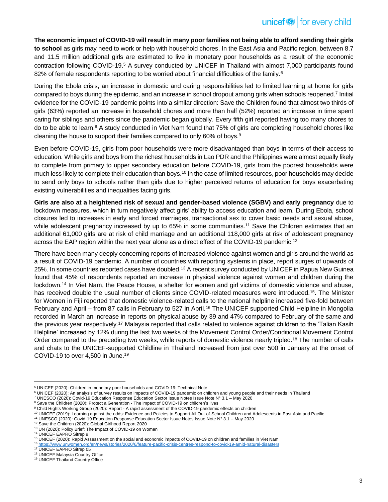**The economic impact of COVID-19 will result in many poor families not being able to afford sending their girls to school** as girls may need to work or help with household chores. In the East Asia and Pacific region, between 8.7 and 11.5 million additional girls are estimated to live in monetary poor households as a result of the economic contraction following COVID-19.<sup>5</sup> A survey conducted by UNICEF in Thailand with almost 7,000 participants found 82% of female respondents reporting to be worried about financial difficulties of the family.<sup>6</sup>

During the Ebola crisis, an increase in domestic and caring responsibilities led to limited learning at home for girls compared to boys during the epidemic, and an increase in school dropout among girls when schools reopened.<sup>7</sup> Initial evidence for the COVID-19 pandemic points into a similar direction: Save the Children found that almost two thirds of girls (63%) reported an increase in household chores and more than half (52%) reported an increase in time spent caring for siblings and others since the pandemic began globally. Every fifth girl reported having too many chores to do to be able to learn.<sup>8</sup> A study conducted in Viet Nam found that 75% of girls are completing household chores like cleaning the house to support their families compared to only 60% of boys. 9

Even before COVID-19, girls from poor households were more disadvantaged than boys in terms of their access to education. While girls and boys from the richest households in Lao PDR and the Philippines were almost equally likely to complete from primary to upper secondary education before COVID-19, girls from the poorest households were much less likely to complete their education than boys.<sup>10</sup> In the case of limited resources, poor households may decide to send only boys to schools rather than girls due to higher perceived returns of education for boys exacerbating existing vulnerabilities and inequalities facing girls.

**Girls are also at a heightened risk of sexual and gender-based violence (SGBV) and early pregnancy** due to lockdown measures, which in turn negatively affect girls' ability to access education and learn. During Ebola, school closures led to increases in early and forced marriages, transactional sex to cover basic needs and sexual abuse, while adolescent pregnancy increased by up to 65% in some communities.<sup>11</sup> Save the Children estimates that an additional 61,000 girls are at risk of child marriage and an additional 118,000 girls at risk of adolescent pregnancy across the EAP region within the next year alone as a direct effect of the COVID-19 pandemic.<sup>12</sup>

There have been many deeply concerning reports of increased violence against women and girls around the world as a result of COVID-19 pandemic. A number of countries with reporting systems in place, report surges of upwards of 25%. In some countries reported cases have doubled.<sup>13</sup> A recent survey conducted by UNICEF in Papua New Guinea found that 45% of respondents reported an increase in physical violence against women and children during the lockdown.<sup>14</sup> In Viet Nam, the Peace House, a shelter for women and girl victims of domestic violence and abuse, has received double the usual number of clients since COVID-related measures were introduced.<sup>15</sup>. The Minister for Women in Fiji reported that domestic violence-related calls to the national helpline increased five-fold between February and April – from 87 calls in February to 527 in April.<sup>16</sup> The UNICEF supported Child Helpline in Mongolia recorded in March an increase in reports on physical abuse by 39 and 47% compared to February of the same and the previous year respectively.<sup>17</sup> Malaysia reported that calls related to violence against children to the 'Talian Kasih Helpline' increased by 12% during the last two weeks of the Movement Control Order/Conditional Movement Control Order compared to the preceding two weeks, while reports of domestic violence nearly tripled.<sup>18</sup> The number of calls and chats to the UNICEF-supported Childline in Thailand increased from just over 500 in January at the onset of COVID-19 to over 4,500 in June.<sup>19</sup>

<sup>12</sup> Save the Children (2020): Global Girlhood Report 2020

<sup>5</sup> UNICEF (2020): Children in monetary poor households and COVID-19: Technical Note

<sup>6</sup> UNICEF (2020): An analysis of survey results on impacts of COVID-19 pandemic on children and young people and their needs in Thailand

<sup>7</sup> UNESCO (2020): Covid-19 Education Response Education Sector Issue Notes Issue Note N° 3.1 – May 2020

<sup>&</sup>lt;sup>8</sup> Save the Children (2020): Protect a Generation - The impact of COVID-19 on children's lives

<sup>9</sup> Child Rights Working Group (2020): Report - A rapid assessment of the COVID-19 pandemic effects on children

<sup>10</sup> UNICEF (2019): Learning against the odds: Evidence and Policies to Support All Out-of-School Children and Adolescents in East Asia and Pacific

<sup>11</sup> UNESCO (2020): Covid-19 Education Response Education Sector Issue Notes Issue Note N° 3.1 – May 2020

<sup>&</sup>lt;sup>13</sup> UN (2020): Policy Brief: The Impact of COVID-19 on Women

<sup>14</sup> UNICEF EAPRO Sitrep 9

<sup>15</sup> UNICEF (2020): Rapid Assessment on the social and economic impacts of COVID-19 on children and families in Viet Nam

<sup>16</sup> <https://www.unwomen.org/en/news/stories/2020/6/feature-pacific-crisis-centres-respond-to-covid-19-amid-natural-disasters>

<sup>17</sup> UNICEF EAPRO Sitrep 05

<sup>18</sup> UNICEF Malaysia Country Office

<sup>19</sup> UNICEF Thailand Country Office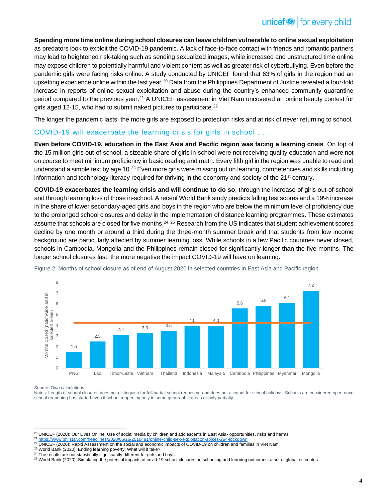**Spending more time online during school closures can leave children vulnerable to online sexual exploitation** as predators look to exploit the COVID-19 pandemic. A lack of face-to-face contact with friends and romantic partners may lead to heightened risk-taking such as sending sexualized images, while increased and unstructured time online may expose children to potentially harmful and violent content as well as greater risk of cyberbullying. Even before the pandemic girls were facing risks online: A study conducted by UNICEF found that 63% of girls in the region had an upsetting experience online within the last year.<sup>20</sup> Data from the Philippines Department of Justice revealed a four-fold increase in reports of online sexual exploitation and abuse during the country's enhanced community quarantine period compared to the previous year.<sup>21</sup> A UNICEF assessment in Viet Nam uncovered an online beauty contest for girls aged 12-15, who had to submit naked pictures to participate.<sup>22</sup>

The longer the pandemic lasts, the more girls are exposed to protection risks and at risk of never returning to school.

## COVID-19 will exacerbate the learning crisis for girls in school …

**Even before COVID-19, education in the East Asia and Pacific region was facing a learning crisis**. On top of the 15 million girls out-of-school, a sizeable share of girls in-school were not receiving quality education and were not on course to meet minimum proficiency in basic reading and math: Every fifth girl in the region was unable to read and understand a simple text by age 10.<sup>23</sup> Even more girls were missing out on learning, competencies and skills including information and technology literacy required for thriving in the economy and society of the 21<sup>st</sup> century.

**COVID-19 exacerbates the learning crisis and will continue to do so**, through the increase of girls out-of-school and through learning loss of those in-school. A recent World Bank study predicts falling test scores and a 19% increase in the share of lower secondary-aged girls and boys in the region who are below the minimum level of proficiency due to the prolonged school closures and delay in the implementation of distance learning programmes. These estimates assume that schools are closed for five months.<sup>24, 25</sup> Research from the US indicates that student achievement scores decline by one month or around a third during the three-month summer break and that students from low income background are particularly affected by summer learning loss. While schools in a few Pacific countries never closed, schools in Cambodia, Mongolia and the Philippines remain closed for significantly longer than the five months. The longer school closures last, the more negative the impact COVID-19 will have on learning.



Figure 2: Months of school closure as of end of August 2020 in selected countries in East Asia and Pacific region

Source: Own calculations.

Notes: Length of school closures does not distinguish for full/partial school reopening and does not account for school holidays. Schools are considered open once school reopening has started even if school reopening only in some geographic areas or only partially.

<sup>&</sup>lt;sup>20</sup> UNICEF (2020): Our Lives Online: Use of social media by children and adolescents in East Asia- opportunities, risks and harms

<sup>21</sup> <https://www.philstar.com/headlines/2020/05/26/2016491/online-child-sex-exploitation-spikes-264-lockdown> <sup>22</sup> UNICEF (2020): Rapid Assessment on the social and economic impacts of COVID-19 on children and families in Viet Nam

<sup>&</sup>lt;sup>23</sup> World Bank (2020): Ending learning poverty: What will it take? <sup>24</sup> The results are not statistically significantly different for girls and boys.

<sup>25</sup> World Bank (2020): Simulating the potential impacts of covid-19 school closures on schooling and learning outcomes: a set of global estimates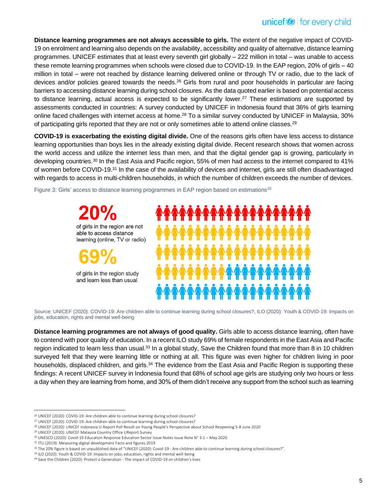# $unicef \otimes$  for every child

**Distance learning programmes are not always accessible to girls.** The extent of the negative impact of COVID-19 on enrolment and learning also depends on the availability, accessibility and quality of alternative, distance learning programmes. UNICEF estimates that at least every seventh girl globally – 222 million in total – was unable to access these remote learning programmes when schools were closed due to COVID-19. In the EAP region, 20% of girls – 40 million in total – were not reached by distance learning delivered online or through TV or radio, due to the lack of devices and/or policies geared towards the needs.<sup>26</sup> Girls from rural and poor households in particular are facing barriers to accessing distance learning during school closures. As the data quoted earlier is based on potential access to distance learning, actual access is expected to be significantly lower.<sup>27</sup> These estimations are supported by assessments conducted in countries: A survey conducted by UNICEF in Indonesia found that 36% of girls learning online faced challenges with internet access at home.<sup>28</sup> To a similar survey conducted by UNICEF in Malaysia, 30% of participating girls reported that they are not or only sometimes able to attend online classes.<sup>29</sup>

**COVID-19 is exacerbating the existing digital divide.** One of the reasons girls often have less access to distance learning opportunities than boys lies in the already existing digital divide. Recent research shows that women across the world access and utilize the internet less than men, and that the digital gender gap is growing, particularly in developing countries.<sup>30</sup> In the East Asia and Pacific region, 55% of men had access to the internet compared to 41% of women before COVID-19.<sup>31</sup> In the case of the availability of devices and internet, girls are still often disadvantaged with regards to access in multi-children households, in which the number of children exceeds the number of devices.

Figure 3: Girls' access to distance learning programmes in EAP region based on estimations<sup>32</sup>



Source: UNICEF (2020): COVID-19: Are children able to continue learning during school closures?, ILO (2020): Youth & COVID-19: Impacts on jobs, education, rights and mental well-being

**Distance learning programmes are not always of good quality.** Girls able to access distance learning, often have to contend with poor quality of education. In a recent ILO study 69% of female respondents in the East Asia and Pacific region indicated to learn less than usual.<sup>33</sup> In a global study, Save the Children found that more than 8 in 10 children surveyed felt that they were learning little or nothing at all. This figure was even higher for children living in poor households, displaced children, and girls.<sup>34</sup> The evidence from the East Asia and Pacific Region is supporting these findings: A recent UNICEF survey in Indonesia found that 68% of school age girls are studying only two hours or less a day when they are learning from home, and 30% of them didn't receive any support from the school such as learning

<sup>26</sup> UNICEF (2020): COVID-19: Are children able to continue learning during school closures?

<sup>27</sup> UNICEF (2020): COVID-19: Are children able to continue learning during school closures?

<sup>28</sup> UNICEF (2020): UNICEF Indonesia U-Report Poll Result on Young People's Perspective about School Reopening 5-8 June 2020

<sup>29</sup> UNICEF (2020): UNICEF Malaysia Country Office UReport Survey

<sup>30</sup> UNESCO (2020): Covid-19 Education Response Education Sector Issue Notes Issue Note N° 3.1 – May 2020

<sup>31</sup> ITU (2019): Measuring digital development Facts and figures 2019

<sup>&</sup>lt;sup>32</sup> The 20% figure is based on unpublished data of "UNICEF (2020): Covid-19 - Are children able to continue learning during school closures?".

<sup>33</sup> ILO (2020): Youth & COVID-19: Impacts on jobs, education, rights and mental well-being

<sup>34</sup> Save the Children (2020): Protect a Generation - The impact of COVID-19 on children's lives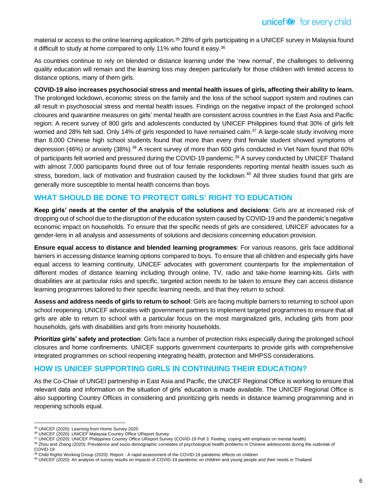material or access to the online learning application.<sup>35</sup> 28% of girls participating in a UNICEF survey in Malaysia found it difficult to study at home compared to only 11% who found it easy.<sup>36</sup>

As countries continue to rely on blended or distance learning under the 'new normal', the challenges to delivering quality education will remain and the learning loss may deepen particularly for those children with limited access to distance options, many of them girls.

#### **COVID-19 also increases psychosocial stress and mental health issues of girls, affecting their ability to learn.**

The prolonged lockdown, economic stress on the family and the loss of the school support system and routines can all result in psychosocial stress and mental health issues. Findings on the negative impact of the prolonged school closures and quarantine measures on girls' mental health are consistent across countries in the East Asia and Pacific region: A recent survey of 800 girls and adolescents conducted by UNICEF Philippines found that 30% of girls felt worried and 28% felt sad. Only 14% of girls responded to have remained calm.<sup>37</sup> A large-scale study involving more than 8,000 Chinese high school students found that more than every third female student showed symptoms of depression (46%) or anxiety (38%).<sup>38</sup> A recent survey of more than 600 girls conducted in Viet Nam found that 60% of participants felt worried and pressured during the COVID-19 pandemic.<sup>39</sup> A survey conducted by UNICEF Thailand with almost 7,000 participants found three out of four female respondents reporting mental health issues such as stress, boredom, lack of motivation and frustration caused by the lockdown.<sup>40</sup> All three studies found that girls are generally more susceptible to mental health concerns than boys.

## **WHAT SHOULD BE DONE TO PROTECT GIRLS' RIGHT TO EDUCATION**

**Keep girls' needs at the center of the analysis of the solutions and decisions**: Girls are at increased risk of dropping out of school due to the disruption of the education system caused by COVID-19 and the pandemic's negative economic impact on households. To ensure that the specific needs of girls are considered, UNICEF advocates for a gender-lens in all analysis and assessments of solutions and decisions concerning education provision.

**Ensure equal access to distance and blended learning programmes**: For various reasons, girls face additional barriers in accessing distance learning options compared to boys. To ensure that all children and especially girls have equal access to learning continuity, UNICEF advocates with government counterparts for the implementation of different modes of distance learning including through online, TV, radio and take-home learning-kits. Girls with disabilities are at particular risks and specific, targeted action needs to be taken to ensure they can access distance learning programmes tailored to their specific learning needs, and that they return to school.

**Assess and address needs of girls to return to school**: Girls are facing multiple barriers to returning to school upon school reopening. UNICEF advocates with government partners to implement targeted programmes to ensure that all girls are able to return to school with a particular focus on the most marginalized girls, including girls from poor households, girls with disabilities and girls from minority households.

**Prioritize girls' safety and protection**: Girls face a number of protection risks especially during the prolonged school closures and home confinements. UNICEF supports government counterparts to provide girls with comprehensive integrated programmes on school reopening integrating health, protection and MHPSS considerations.

## **HOW IS UNICEF SUPPORTING GIRLS IN CONTINUING THEIR EDUCATION?**

As the Co-Chair of UNGEI partnership in East Asia and Pacific, the UNICEF Regional Office is working to ensure that relevant data and information on the situation of girls' education is made available. The UNICEF Regional Office is also supporting Country Offices in considering and prioritizing girls needs in distance learning programming and in reopening schools equal.

<sup>35</sup> UNICEF (2020): Learning from Home Survey 2020

<sup>36</sup> UNICEF (2020): UNICEF Malaysia Country Office UReport Survey

<sup>37</sup> UNICEF (2020): UNICEF Philippines Country Office UReport Survey (COVID-19 Poll 3: Feeling, coping with emphasis on mental health)

<sup>38</sup> Zhou and Zhang (2020): Prevalence and socio-demographic correlates of psychological health problems in Chinese adolescents during the outbreak of COVID‑19

<sup>&</sup>lt;sup>39</sup> Child Rights Working Group (2020): Report - A rapid assessment of the COVID-19 pandemic effects on children

<sup>40</sup> UNICEF (2020): An analysis of survey results on impacts of COVID-19 pandemic on children and young people and their needs in Thailand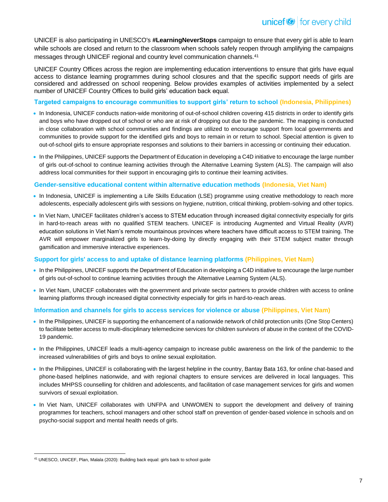UNICEF is also participating in UNESCO's **#LearningNeverStops** campaign to ensure that every girl is able to learn while schools are closed and return to the classroom when schools safely reopen through amplifying the campaigns messages through UNICEF regional and country level communication channels.<sup>41</sup>

UNICEF Country Offices across the region are implementing education interventions to ensure that girls have equal access to distance learning programmes during school closures and that the specific support needs of girls are considered and addressed on school reopening. Below provides examples of activities implemented by a select number of UNICEF Country Offices to build girls' education back equal.

#### **Targeted campaigns to encourage communities to support girls' return to school (Indonesia, Philippines)**

- In Indonesia, UNICEF conducts nation-wide monitoring of out-of-school children covering 415 districts in order to identify girls and boys who have dropped out of school or who are at risk of dropping out due to the pandemic. The mapping is conducted in close collaboration with school communities and findings are utilized to encourage support from local governments and communities to provide support for the identified girls and boys to remain in or return to school. Special attention is given to out-of-school girls to ensure appropriate responses and solutions to their barriers in accessing or continuing their education.
- In the Philippines, UNICEF supports the Department of Education in developing a C4D initiative to encourage the large number of girls out-of-school to continue learning activities through the Alternative Learning System (ALS). The campaign will also address local communities for their support in encouraging girls to continue their learning activities.

#### **Gender-sensitive educational content within alternative education methods (Indonesia, Viet Nam)**

- In Indonesia, UNICEF is implementing a Life Skills Education (LSE) programme using creative methodology to reach more adolescents, especially adolescent girls with sessions on hygiene, nutrition, critical thinking, problem-solving and other topics.
- In Viet Nam, UNICEF facilitates children's access to STEM education through increased digital connectivity especially for girls in hard-to-reach areas with no qualified STEM teachers. UNICEF is introducing Augmented and Virtual Reality (AVR) education solutions in Viet Nam's remote mountainous provinces where teachers have difficult access to STEM training. The AVR will empower marginalized girls to learn-by-doing by directly engaging with their STEM subject matter through gamification and immersive interactive experiences.

#### **Support for girls' access to and uptake of distance learning platforms (Philippines, Viet Nam)**

- In the Philippines, UNICEF supports the Department of Education in developing a C4D initiative to encourage the large number of girls out-of-school to continue learning activities through the Alternative Learning System (ALS).
- In Viet Nam, UNICEF collaborates with the government and private sector partners to provide children with access to online learning platforms through increased digital connectivity especially for girls in hard-to-reach areas.

#### **Information and channels for girls to access services for violence or abuse (Philippines, Viet Nam)**

- In the Philippines, UNICEF is supporting the enhancement of a nationwide network of child protection units (One Stop Centers) to facilitate better access to multi-disciplinary telemedicine services for children survivors of abuse in the context of the COVID-19 pandemic.
- In the Philippines, UNICEF leads a multi-agency campaign to increase public awareness on the link of the pandemic to the increased vulnerabilities of girls and boys to online sexual exploitation.
- In the Philippines, UNICEF is collaborating with the largest helpline in the country, Bantay Bata 163, for online chat-based and phone-based helplines nationwide, and with regional chapters to ensure services are delivered in local languages. This includes MHPSS counselling for children and adolescents, and facilitation of case management services for girls and women survivors of sexual exploitation.
- In Viet Nam, UNICEF collaborates with UNFPA and UNWOMEN to support the development and delivery of training programmes for teachers, school managers and other school staff on prevention of gender-based violence in schools and on psycho-social support and mental health needs of girls.

<sup>41</sup> UNESCO, UNICEF, Plan, Malala (2020): Building back equal: girls back to school guide